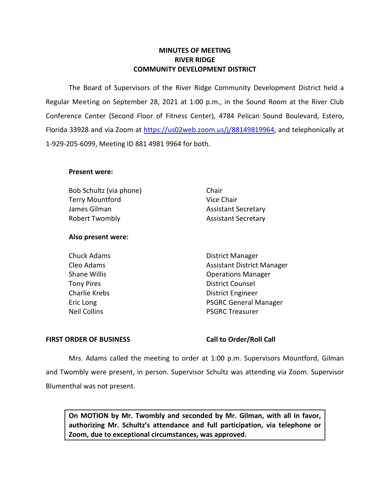## **MINUTES OF MEETING RIVER RIDGE COMMUNITY DEVELOPMENT DISTRICT**

 The Board of Supervisors of the River Ridge Community Development District held a Regular Meeting on September 28, 2021 at 1:00 p.m., in the Sound Room at the River Club Conference Center (Second Floor of Fitness Center), 4784 Pelican Sound Boulevard, Estero, Florida 33928 and via Zoom at [https://us02web.zoom.us/j/88149819964,](https://us02web.zoom.us/j/88149819964) and telephonically at 1-929-205-6099, Meeting ID 881 4981 9964 for both.

## **Present were:**

Bob Schultz (via phone) Chair Terry Mountford Vice Chair James Gilman Assistant Secretary Robert Twombly **Assistant Secretary** 

# **Also present were:**

Cleo Adams **Assistant District Manager** Assistant District Manager Eric Long PSGRC General Manager<br>
PSGRC Treasurer PSGRC Treasurer **PSGRC Treasurer** Chuck Adams **District Manager** Shane Willis **Shane Willis Conserversity Operations Manager** Tony Pires **District Counsel** Charlie Krebs **District Engineer** 

## FIRST ORDER OF BUSINESS Call to Order/Roll Call

 Mrs. Adams called the meeting to order at 1:00 p.m. Supervisors Mountford, Gilman and Twombly were present, in person. Supervisor Schultz was attending via Zoom. Supervisor Blumenthal was not present.

**On MOTION by Mr. Twombly and seconded by Mr. Gilman, with all in favor, authorizing Mr. Schultz's attendance and full participation, via telephone or Zoom, due to exceptional circumstances, was approved.**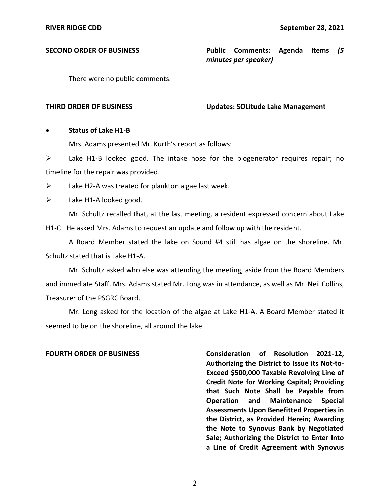**SECOND ORDER OF BUSINESS Public Comments: Agenda Items** *(5 minutes per speaker)* 

There were no public comments.

### **THIRD ORDER OF BUSINESS Updates: SOLitude Lake Management**

## • **Status of Lake H1-B**

Mrs. Adams presented Mr. Kurth's report as follows:

 $\triangleright$  Lake H1-B looked good. The intake hose for the biogenerator requires repair; no timeline for the repair was provided.

 $\triangleright$  Lake H2-A was treated for plankton algae last week.

 $\triangleright$  Lake H1-A looked good.

H1-C. He asked Mrs. Adams to request an update and follow up with the resident. Mr. Schultz recalled that, at the last meeting, a resident expressed concern about Lake

A Board Member stated the lake on Sound #4 still has algae on the shoreline. Mr. Schultz stated that is Lake H1-A.

 Mr. Schultz asked who else was attending the meeting, aside from the Board Members and immediate Staff. Mrs. Adams stated Mr. Long was in attendance, as well as Mr. Neil Collins, Treasurer of the PSGRC Board.

 Mr. Long asked for the location of the algae at Lake H1-A. A Board Member stated it seemed to be on the shoreline, all around the lake.

 **Assessments Upon Benefitted Properties in FOURTH ORDER OF BUSINESS Consideration of Resolution 2021-12, Authorizing the District to Issue its Not-to-Exceed \$500,000 Taxable Revolving Line of Credit Note for Working Capital; Providing that Such Note Shall be Payable from Operation and Maintenance Special the District, as Provided Herein; Awarding the Note to Synovus Bank by Negotiated Sale; Authorizing the District to Enter Into a Line of Credit Agreement with Synovus**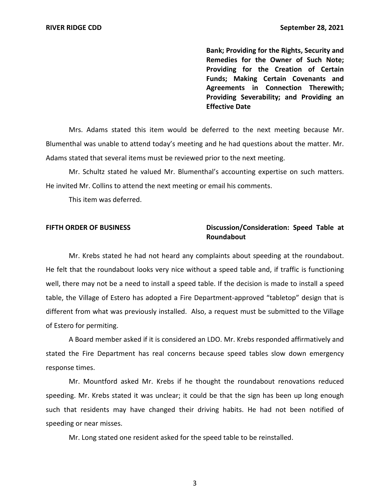**Bank; Providing for the Rights, Security and Remedies for the Owner of Such Note; Providing for the Creation of Certain Funds; Making Certain Covenants and Agreements in Connection Therewith; Providing Severability; and Providing an Effective Date** 

 Mrs. Adams stated this item would be deferred to the next meeting because Mr. Blumenthal was unable to attend today's meeting and he had questions about the matter. Mr. Adams stated that several items must be reviewed prior to the next meeting.

 Mr. Schultz stated he valued Mr. Blumenthal's accounting expertise on such matters. He invited Mr. Collins to attend the next meeting or email his comments.

This item was deferred.

# **Roundabout** FIFTH ORDER OF BUSINESS Discussion/Consideration: Speed Table at

 different from what was previously installed. Also, a request must be submitted to the Village Mr. Krebs stated he had not heard any complaints about speeding at the roundabout. He felt that the roundabout looks very nice without a speed table and, if traffic is functioning well, there may not be a need to install a speed table. If the decision is made to install a speed table, the Village of Estero has adopted a Fire Department-approved "tabletop" design that is of Estero for permiting.

 stated the Fire Department has real concerns because speed tables slow down emergency A Board member asked if it is considered an LDO. Mr. Krebs responded affirmatively and response times.

 such that residents may have changed their driving habits. He had not been notified of Mr. Mountford asked Mr. Krebs if he thought the roundabout renovations reduced speeding. Mr. Krebs stated it was unclear; it could be that the sign has been up long enough speeding or near misses.

Mr. Long stated one resident asked for the speed table to be reinstalled.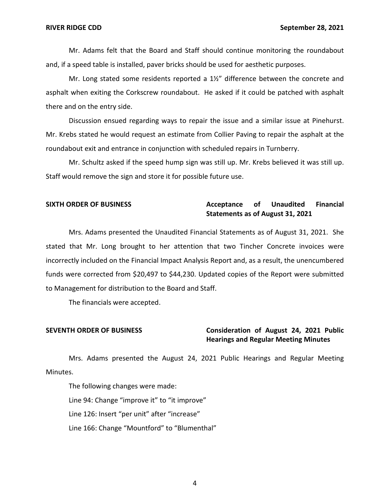Mr. Adams felt that the Board and Staff should continue monitoring the roundabout and, if a speed table is installed, paver bricks should be used for aesthetic purposes.

there and on the entry side. Mr. Long stated some residents reported a 1½" difference between the concrete and asphalt when exiting the Corkscrew roundabout. He asked if it could be patched with asphalt

Discussion ensued regarding ways to repair the issue and a similar issue at Pinehurst. Mr. Krebs stated he would request an estimate from Collier Paving to repair the asphalt at the roundabout exit and entrance in conjunction with scheduled repairs in Turnberry.

 Mr. Schultz asked if the speed hump sign was still up. Mr. Krebs believed it was still up. Staff would remove the sign and store it for possible future use.

## SIXTH ORDER OF BUSINESS **Acceptance** of Unaudited Financial **Statements as of August 31, 2021**

 Mrs. Adams presented the Unaudited Financial Statements as of August 31, 2021. She incorrectly included on the Financial Impact Analysis Report and, as a result, the unencumbered to Management for distribution to the Board and Staff. stated that Mr. Long brought to her attention that two Tincher Concrete invoices were funds were corrected from \$20,497 to \$44,230. Updated copies of the Report were submitted

The financials were accepted.

# **SEVENTH ORDER OF BUSINESS Consideration of August 24, 2021 Public Hearings and Regular Meeting Minutes**

 Mrs. Adams presented the August 24, 2021 Public Hearings and Regular Meeting Minutes.

 The following changes were made: Line 126: Insert "per unit" after "increase" Line 94: Change "improve it" to "it improve" Line 166: Change "Mountford" to "Blumenthal"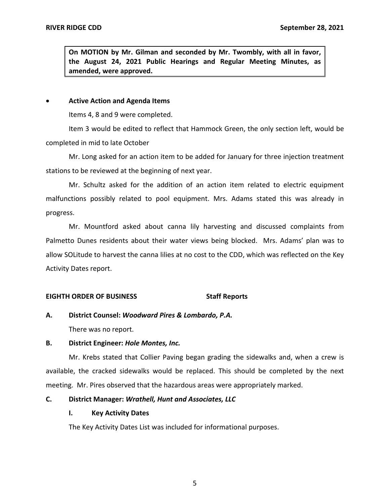**On MOTION by Mr. Gilman and seconded by Mr. Twombly, with all in favor, the August 24, 2021 Public Hearings and Regular Meeting Minutes, as amended, were approved.** 

### • **Active Action and Agenda Items**

Items 4, 8 and 9 were completed.

Item 3 would be edited to reflect that Hammock Green, the only section left, would be completed in mid to late October

 Mr. Long asked for an action item to be added for January for three injection treatment stations to be reviewed at the beginning of next year.

 malfunctions possibly related to pool equipment. Mrs. Adams stated this was already in Mr. Schultz asked for the addition of an action item related to electric equipment progress.

 Palmetto Dunes residents about their water views being blocked. Mrs. Adams' plan was to allow SOLitude to harvest the canna lilies at no cost to the CDD, which was reflected on the Key Mr. Mountford asked about canna lily harvesting and discussed complaints from Activity Dates report.

## **EIGHTH ORDER OF BUSINESS Staff Reports**

**A. District Counsel:** *Woodward Pires & Lombardo, P.A.* 

There was no report.

## **B. District Engineer:** *Hole Montes, Inc.*

 Mr. Krebs stated that Collier Paving began grading the sidewalks and, when a crew is available, the cracked sidewalks would be replaced. This should be completed by the next meeting. Mr. Pires observed that the hazardous areas were appropriately marked.

## **C. District Manager:** *Wrathell, Hunt and Associates, LLC*

## **I. Key Activity Dates**

The Key Activity Dates List was included for informational purposes.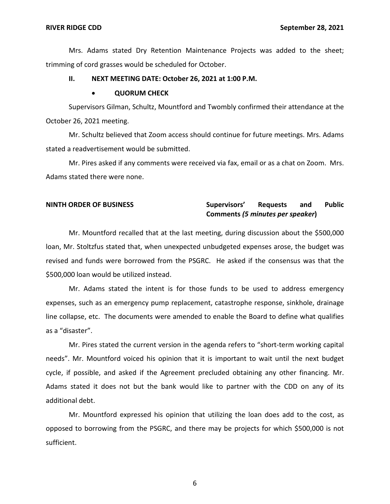Mrs. Adams stated Dry Retention Maintenance Projects was added to the sheet; trimming of cord grasses would be scheduled for October.

## **II. NEXT MEETING DATE: October 26, 2021 at 1:00 P.M.**

### • **QUORUM CHECK**

 October 26, 2021 meeting. Supervisors Gilman, Schultz, Mountford and Twombly confirmed their attendance at the

 Mr. Schultz believed that Zoom access should continue for future meetings. Mrs. Adams stated a readvertisement would be submitted.

 Mr. Pires asked if any comments were received via fax, email or as a chat on Zoom. Mrs. Adams stated there were none.

## **NINTH ORDER OF BUSINESS Supervisors' Requests and Public Comments** *(5 minutes per speaker***)**

 loan, Mr. Stoltzfus stated that, when unexpected unbudgeted expenses arose, the budget was revised and funds were borrowed from the PSGRC. He asked if the consensus was that the Mr. Mountford recalled that at the last meeting, during discussion about the \$500,000 \$500,000 loan would be utilized instead.

 expenses, such as an emergency pump replacement, catastrophe response, sinkhole, drainage line collapse, etc. The documents were amended to enable the Board to define what qualifies Mr. Adams stated the intent is for those funds to be used to address emergency as a "disaster".

 cycle, if possible, and asked if the Agreement precluded obtaining any other financing. Mr. Adams stated it does not but the bank would like to partner with the CDD on any of its Mr. Pires stated the current version in the agenda refers to "short-term working capital needs". Mr. Mountford voiced his opinion that it is important to wait until the next budget additional debt.

 opposed to borrowing from the PSGRC, and there may be projects for which \$500,000 is not Mr. Mountford expressed his opinion that utilizing the loan does add to the cost, as sufficient.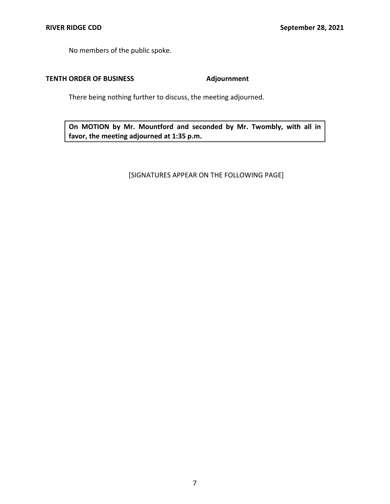No members of the public spoke.

# **TENTH ORDER OF BUSINESS Adjournment**

There being nothing further to discuss, the meeting adjourned.

 **On MOTION by Mr. Mountford and seconded by Mr. Twombly, with all in favor, the meeting adjourned at 1:35 p.m.** 

[SIGNATURES APPEAR ON THE FOLLOWING PAGE]